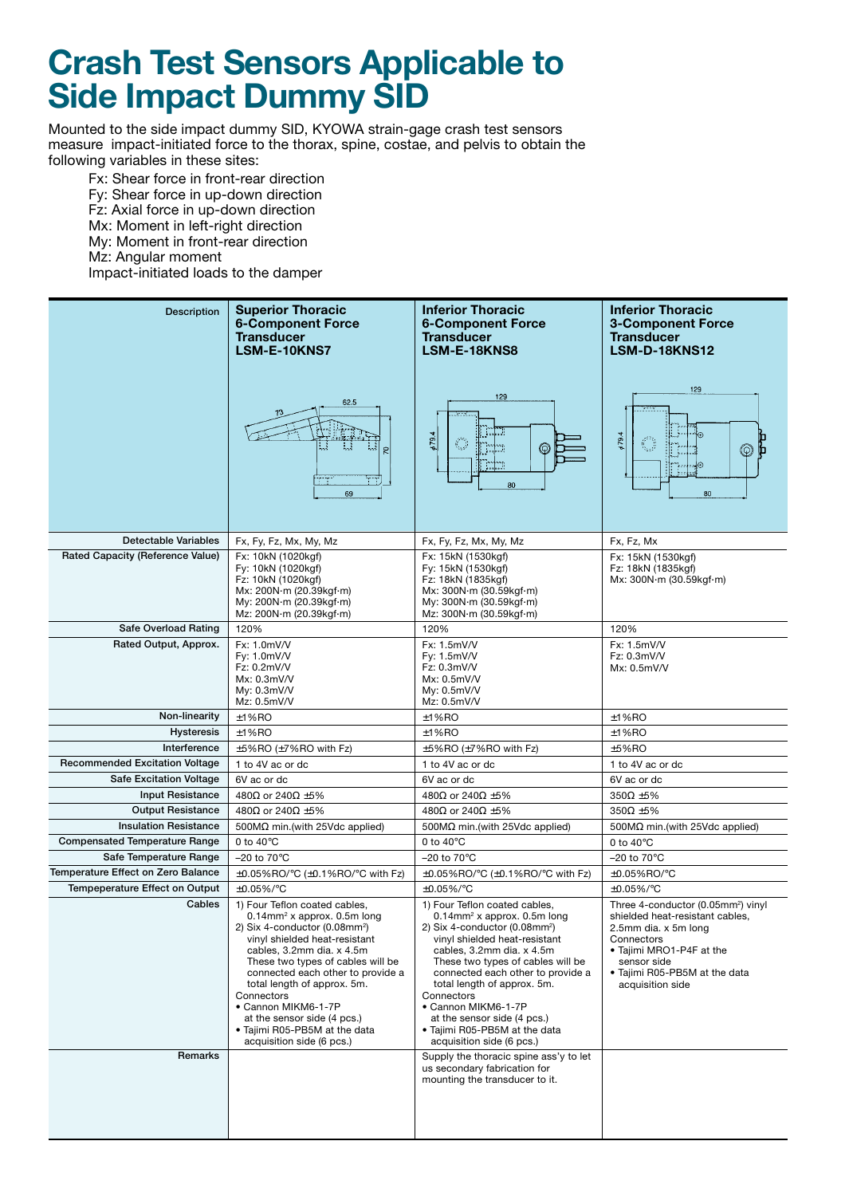## **Crash Test Sensors Applicable to Side Impact Dummy SID**

Mounted to the side impact dummy SID, KYOWA strain-gage crash test sensors measure impact-initiated force to the thorax, spine, costae, and pelvis to obtain the following variables in these sites:

Fx: Shear force in front-rear direction Fy: Shear force in up-down direction Fz: Axial force in up-down direction Mx: Moment in left-right direction My: Moment in front-rear direction Mz: Angular moment Impact-initiated loads to the damper

| <b>Description</b>                                  | <b>Superior Thoracic</b><br><b>6-Component Force</b><br><b>Transducer</b><br>LSM-E-10KNS7<br>62.5<br>S<br>m<br>69                                                                                                                                                                                                                                                                                                                 | <b>Inferior Thoracic</b><br><b>6-Component Force</b><br><b>Transducer</b><br>LSM-E-18KNS8<br>129<br>679.4<br>$\mathbb{C}^{\infty}$<br>$^\copyright$<br>80                                                                                                                                                                                                                                                                         | <b>Inferior Thoracic</b><br><b>3-Component Force</b><br><b>Transducer</b><br><b>LSM-D-18KNS12</b><br>129<br>$\cdots$<br>679.4<br>Ő<br>$^\circledR$<br>面<br>80                                                           |
|-----------------------------------------------------|-----------------------------------------------------------------------------------------------------------------------------------------------------------------------------------------------------------------------------------------------------------------------------------------------------------------------------------------------------------------------------------------------------------------------------------|-----------------------------------------------------------------------------------------------------------------------------------------------------------------------------------------------------------------------------------------------------------------------------------------------------------------------------------------------------------------------------------------------------------------------------------|-------------------------------------------------------------------------------------------------------------------------------------------------------------------------------------------------------------------------|
| <b>Detectable Variables</b>                         | Fx, Fy, Fz, Mx, My, Mz                                                                                                                                                                                                                                                                                                                                                                                                            | Fx, Fy, Fz, Mx, My, Mz                                                                                                                                                                                                                                                                                                                                                                                                            | Fx, Fz, Mx                                                                                                                                                                                                              |
| Rated Capacity (Reference Value)                    | Fx: 10kN (1020kgf)<br>Fy: 10kN (1020kgf)<br>Fz: 10kN (1020kgf)<br>Mx: 200N·m (20.39kgf·m)<br>My: 200N·m (20.39kgf·m)<br>Mz: 200N·m (20.39kgf·m)                                                                                                                                                                                                                                                                                   | Fx: 15kN (1530kgf)<br>Fy: 15kN (1530kgf)<br>Fz: 18kN (1835kgf)<br>Mx: 300N·m (30.59kgf·m)<br>My: 300N·m (30.59kgf·m)<br>Mz: 300N·m (30.59kgf·m)                                                                                                                                                                                                                                                                                   | Fx: 15kN (1530kgf)<br>Fz: 18kN (1835kgf)<br>Mx: 300N·m (30.59kgf·m)                                                                                                                                                     |
| Safe Overload Rating                                | 120%                                                                                                                                                                                                                                                                                                                                                                                                                              | 120%                                                                                                                                                                                                                                                                                                                                                                                                                              | 120%                                                                                                                                                                                                                    |
| Rated Output, Approx.                               | Fx: 1.0mV/V<br>Fy: 1.0mV/V<br>Fz: 0.2mV/V<br>Mx: 0.3mV/V<br>My: 0.3mV/V<br>Mz: 0.5mV/V                                                                                                                                                                                                                                                                                                                                            | Fx: 1.5mV/V<br>Fy: 1.5mV/V<br>Fz: 0.3mV/V<br>Mx: 0.5mV/V<br>My: 0.5mV/V<br>Mz: 0.5mV/V                                                                                                                                                                                                                                                                                                                                            | Fx: 1.5mV/V<br>Fz: 0.3mV/V<br>Mx: 0.5mV/V                                                                                                                                                                               |
| Non-linearity                                       | $±1%$ RO                                                                                                                                                                                                                                                                                                                                                                                                                          | ±1%RO                                                                                                                                                                                                                                                                                                                                                                                                                             | ±1%RO                                                                                                                                                                                                                   |
| Hysteresis                                          | $±1%$ RO                                                                                                                                                                                                                                                                                                                                                                                                                          | $±1%$ RO                                                                                                                                                                                                                                                                                                                                                                                                                          | $±1%$ RO                                                                                                                                                                                                                |
| Interference                                        | ±5%RO (±7%RO with Fz)                                                                                                                                                                                                                                                                                                                                                                                                             | ±5%RO (±7%RO with Fz)                                                                                                                                                                                                                                                                                                                                                                                                             | $±5%$ RO                                                                                                                                                                                                                |
| <b>Recommended Excitation Voltage</b>               | 1 to 4V ac or dc                                                                                                                                                                                                                                                                                                                                                                                                                  | 1 to 4V ac or dc                                                                                                                                                                                                                                                                                                                                                                                                                  | 1 to 4V ac or dc                                                                                                                                                                                                        |
| <b>Safe Excitation Voltage</b>                      | 6V ac or dc                                                                                                                                                                                                                                                                                                                                                                                                                       | 6V ac or dc                                                                                                                                                                                                                                                                                                                                                                                                                       | 6V ac or dc                                                                                                                                                                                                             |
| <b>Input Resistance</b><br><b>Output Resistance</b> | 480 $\Omega$ or 240 $\Omega$ ±5%<br>480 $\Omega$ or 240 $\Omega$ ±5%                                                                                                                                                                                                                                                                                                                                                              | 480 $\Omega$ or 240 $\Omega$ ±5%<br>480 $\Omega$ or 240 $\Omega$ ±5%                                                                                                                                                                                                                                                                                                                                                              | $350\Omega \pm 5\%$<br>$350\Omega \pm 5\%$                                                                                                                                                                              |
| <b>Insulation Resistance</b>                        | 500M $\Omega$ min. (with 25Vdc applied)                                                                                                                                                                                                                                                                                                                                                                                           | 500 $M\Omega$ min.(with 25Vdc applied)                                                                                                                                                                                                                                                                                                                                                                                            | 500 $M\Omega$ min.(with 25Vdc applied)                                                                                                                                                                                  |
| <b>Compensated Temperature Range</b>                | 0 to $40^{\circ}$ C                                                                                                                                                                                                                                                                                                                                                                                                               | 0 to $40^{\circ}$ C                                                                                                                                                                                                                                                                                                                                                                                                               | 0 to $40^{\circ}$ C                                                                                                                                                                                                     |
| Safe Temperature Range                              | $-20$ to $70^{\circ}$ C                                                                                                                                                                                                                                                                                                                                                                                                           | $-20$ to $70^{\circ}$ C                                                                                                                                                                                                                                                                                                                                                                                                           | $-20$ to $70^{\circ}$ C                                                                                                                                                                                                 |
| Temperature Effect on Zero Balance                  | $\pm$ 0.05%RO/°C ( $\pm$ 0.1%RO/°C with Fz)                                                                                                                                                                                                                                                                                                                                                                                       | ±0.05%RO/°C (±0.1%RO/°C with Fz)                                                                                                                                                                                                                                                                                                                                                                                                  | ±0.05%RO/°C                                                                                                                                                                                                             |
| <b>Tempeperature Effect on Output</b>               | $±0.05\%/°C$                                                                                                                                                                                                                                                                                                                                                                                                                      | $±0.05\%/°C$                                                                                                                                                                                                                                                                                                                                                                                                                      | $+0.05\%$ /°C                                                                                                                                                                                                           |
| Cables                                              | 1) Four Teflon coated cables,<br>$0.14$ mm <sup>2</sup> x approx. 0.5m long<br>2) Six 4-conductor (0.08mm <sup>2</sup> )<br>vinyl shielded heat-resistant<br>cables, 3.2mm dia. x 4.5m<br>These two types of cables will be<br>connected each other to provide a<br>total length of approx. 5m.<br>Connectors<br>• Cannon MIKM6-1-7P<br>at the sensor side (4 pcs.)<br>• Tajimi R05-PB5M at the data<br>acquisition side (6 pcs.) | 1) Four Teflon coated cables,<br>$0.14$ mm <sup>2</sup> x approx. 0.5m long<br>2) Six 4-conductor (0.08mm <sup>2</sup> )<br>vinyl shielded heat-resistant<br>cables, 3.2mm dia. x 4.5m<br>These two types of cables will be<br>connected each other to provide a<br>total length of approx. 5m.<br>Connectors<br>• Cannon MIKM6-1-7P<br>at the sensor side (4 pcs.)<br>• Tajimi R05-PB5M at the data<br>acquisition side (6 pcs.) | Three 4-conductor (0.05mm <sup>2</sup> ) vinyl<br>shielded heat-resistant cables,<br>2.5mm dia. x 5m long<br>Connectors<br>• Tajimi MRO1-P4F at the<br>sensor side<br>• Tajimi R05-PB5M at the data<br>acquisition side |
| Remarks                                             |                                                                                                                                                                                                                                                                                                                                                                                                                                   | Supply the thoracic spine ass'y to let<br>us secondary fabrication for<br>mounting the transducer to it.                                                                                                                                                                                                                                                                                                                          |                                                                                                                                                                                                                         |